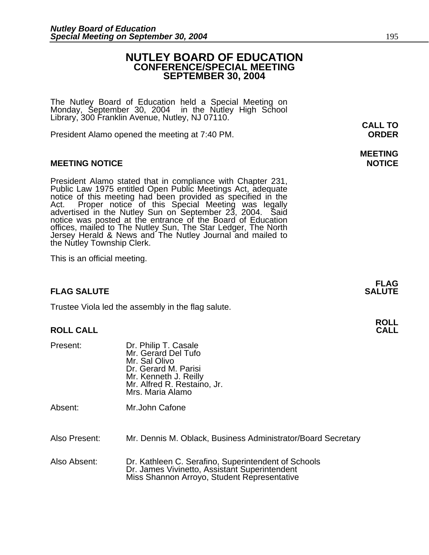# **NUTLEY BOARD OF EDUCATION CONFERENCE/SPECIAL MEETING SEPTEMBER 30, 2004**

The Nutley Board of Education held a Special Meeting on Monday, September 30, 2004 in the Nutley High School Library, 300 Franklin Avenue, Nutley, NJ 07110.

President Alamo opened the meeting at 7:40 PM. **ORDER**

### **MEETING NOTICE NOTICE AND INCOMEDIATE**

President Alamo stated that in compliance with Chapter 231,<br>Public Law 1975 entitled Open Public Meetings Act, adequate<br>notice of this meeting had been provided as specified in the<br>Act. Proper notice of this Special Meetin offices, mailed to The Nutley Sun, The Star Ledger, The North Jersey Herald & News and The Nutley Journal and mailed to the Nutley Township Clerk.

This is an official meeting.

# **FLAG SALUTE** SALUTE SALUTE SALUTE SALUTE SALUTE

Trustee Viola led the assembly in the flag salute.

### **ROLL CALL**

| Present: | Dr. Philip T. Casale<br>Mr. Gerard Del Tufo<br>Mr. Sal Olivo<br>Dr. Gerard M. Parisi<br>Mr. Kenneth J. Reilly<br>Mr. Alfred R. Restaino, Jr.<br>Mrs. Maria Alamo |
|----------|------------------------------------------------------------------------------------------------------------------------------------------------------------------|
| Absent:  | Mr.John Cafone                                                                                                                                                   |

Also Present: Mr. Dennis M. Oblack, Business Administrator/Board Secretary

Also Absent: Dr. Kathleen C. Serafino, Superintendent of Schools Dr. James Vivinetto, Assistant Superintendent<br>Miss Shannon Arroyo, Student Representative

# **MEETING**

**FLAG** 

**ROLL**